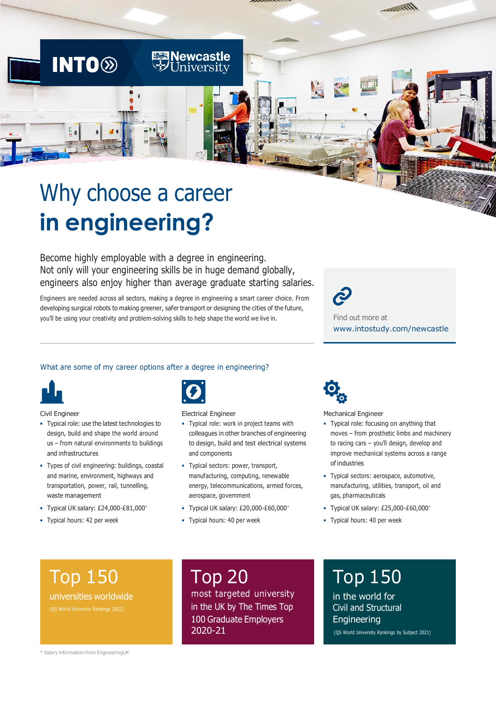# Why choose a career **in engineering?**

**INTO<sup>®</sup>** 

Become highly employable with a degree in engineering. Not only will your engineering skills be in huge demand globally, engineers also enjoy higher than average graduate starting salaries.

**Newcastle**<br>University

Engineers are needed across all sectors, making a degree in engineering a smart career choice. From developing surgical robots to making greener, safer transport or designing the cities of the future, you'll be using your creativity and problem-solving skills to help shape the world we live in.

Find out more at [www.intostudy.com/n](https://www.intostudy.com/en/universities/newcastle-university)ewcastle

# What are some of my career options after a degree in engineering?



Civil Engineer

- Typical role: use the latest technologies to design, build and shape the world around us – from natural environments to buildings and infrastructures
- Types of civil engineering: buildings, coastal and marine, environment, highways and transportation, power, rail, tunnelling, waste management
- Typical UK salary: £24,000-£81,000\*
- Typical hours: 42 per week



Electrical Engineer

- Typical role: work in project teams with colleagues in other branches of engineering to design, build and test electrical systems and components
- Typical sectors: power, transport, manufacturing, computing, renewable energy, telecommunications, armed forces, aerospace, government
- Typical UK salary: £20,000-£60,000\*
- Typical hours: 40 per week



Mechanical Engineer

- Typical role: focusing on anything that moves – from prosthetic limbs and machinery to racing cars – you'll design, develop and improve mechanical systems across a range of industries
- Typical sectors: aerospace, automotive, manufacturing, utilities, transport, oil and gas, pharmaceuticals
- Typical UK salary: £25,000-£60,000\*
- Typical hours: 40 per week

# Top 150

universities worldwide

# Top 20

most targeted university in the UK by The Times Top 100 Graduate Employers 2020-21

# Top 150

in the world for Civil and Structural **Engineering** (QS World University Rankings by Subject 2021)

\* Salary information from EngineeringUK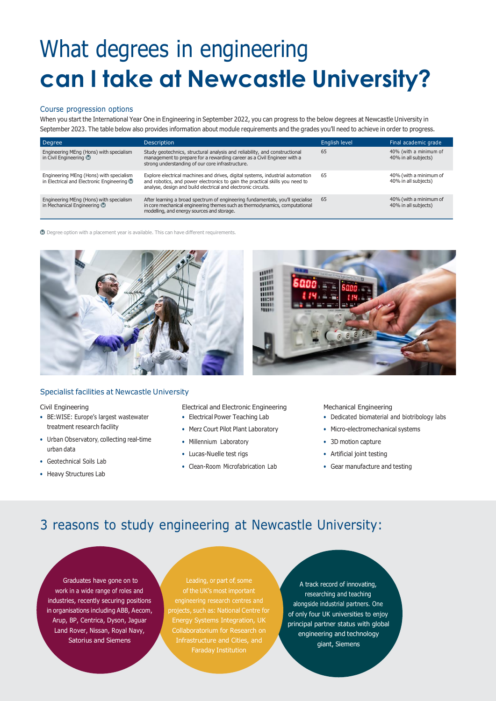# What degrees in engineering **can I take at Newcastle University?**

# Course progression options

When you start the International Year One in Engineering in September 2022, you can progress to the below degrees at Newcastle University in September 2023. The table below also provides information about module requirements and the grades you'll need to achieve in order to progress.

| Degree                                                                                 | <b>Description</b>                                                                                                                                                                                                              | English level | Final academic grade                           |
|----------------------------------------------------------------------------------------|---------------------------------------------------------------------------------------------------------------------------------------------------------------------------------------------------------------------------------|---------------|------------------------------------------------|
| Engineering MEng (Hons) with specialism<br>in Civil Engineering @                      | Study geotechnics, structural analysis and reliability, and constructional<br>management to prepare for a rewarding career as a Civil Engineer with a<br>strong understanding of our core infrastructure.                       | 65            | 40% (with a minimum of<br>40% in all subjects) |
| Engineering MEng (Hons) with specialism<br>in Electrical and Electronic Engineering CO | Explore electrical machines and drives, digital systems, industrial automation<br>and robotics, and power electronics to gain the practical skills you need to<br>analyse, design and build electrical and electronic circuits. | 65            | 40% (with a minimum of<br>40% in all subjects) |
| Engineering MEng (Hons) with specialism<br>in Mechanical Engineering CO                | After learning a broad spectrum of engineering fundamentals, you'll specialise<br>in core mechanical engineering themes such as thermodynamics, computational<br>modelling, and energy sources and storage.                     | 65            | 40% (with a minimum of<br>40% in all subjects) |

 $\bullet$  Degree option with a placement year is available. This can have different requirements.



# Specialist facilities at Newcastle University

Civil Engineering

- BE:WISE: Europe's largest wastewater treatment research facility
- Urban Observatory, collecting real-time urban data
- Geotechnical Soils Lab
- Heavy Structures Lab
- Electrical and Electronic Engineering
- Electrical Power Teaching Lab
- Merz Court Pilot Plant Laboratory
- Millennium Laboratory
- Lucas-Nuelle test rigs
- Clean-Room Microfabrication Lab

Mechanical Engineering

- Dedicated biomaterial and biotribology labs
- Micro-electromechanical systems
- 3D motion capture
- Artificial joint testing
- Gear manufacture and testing

# 3 reasons to study engineering at Newcastle University:

Graduates have gone on to work in a wide range of roles and industries, recently securing positions in organisations including ABB, Aecom, Arup, BP, Centrica, Dyson, Jaguar Land Rover, Nissan, Royal Navy, Satorius and Siemens

Leading, or part of, some engineering research centres and projects, such as: National Centre for Energy Systems Integration, UK

A track record of innovating, researching and teaching alongside industrial partners. One of only four UK universities to enjoy principal partner status with global engineering and technology giant, Siemens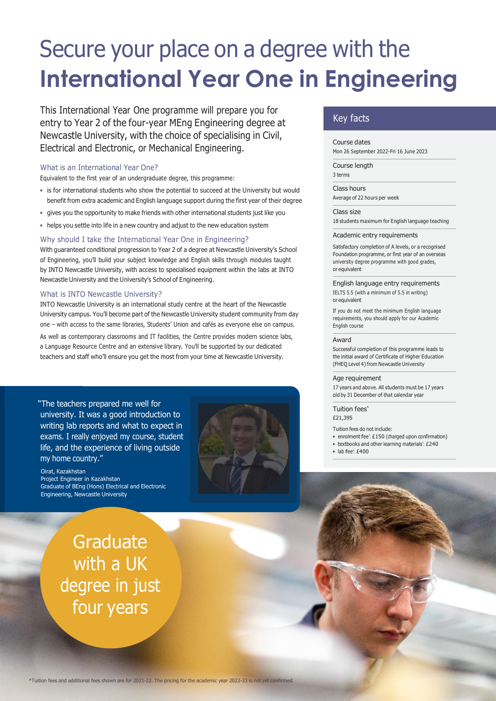# Secure your place on a degree with the **International Year One in Engineering**

This International Year One programme will prepare you for entry to Year 2 of the four-year MEng Engineering degree at Newcastle University, with the choice of specialising in Civil, Electrical and Electronic, or Mechanical Engineering.

# What is an International Year One?

Equivalent to the first year of an undergraduate degree, this programme:

- is for international students who show the potential to succeed at the University but would benefit from extra academic and English language support during the first year of their degree
- gives you the opportunity to make friends with other international students just like you
- helps you settle into life in a new country and adjust to the new education system

## Why should I take the International Year One in Engineering?

With guaranteed conditional progression to Year 2 of a degree at Newcastle University's School of Engineering, you'll build your subject knowledge and English skills through modules taught by INTO Newcastle University, with access to specialised equipment within the labs at INTO Newcastle University and the University's School of Engineering.

## What is INTO Newcastle University?

INTO Newcastle University is an international study centre at the heart of the Newcastle University campus. You'll become part of the Newcastle University student community from day one – with access to the same libraries, Students' Union and cafés as everyone else on campus. As well as contemporary classrooms and IT facilities, the Centre provides modern science labs, a Language Resource Centre and an extensive library. You'll be supported by our dedicated teachers and staff who'll ensure you get the most from your time at Newcastle University.

"The teachers prepared me well for university. It was a good introduction to writing lab reports and what to expect in exams. I really enjoyed my course, student life, and the experience of living outside my home country."

### Oirat, Kazakhstan

Project Engineer in Kazakhstan Graduate of BEng (Hons) Electrical and Electronic Engineering, Newcastle University

> **Graduate** with a UK degree in just four years



# Key facts

Course dates Mon 26 September 2022-Fri 16 June 2023

Course length 3 terms

Class hours Average of 22 hours per week

Class size 18 students maximum for English language teaching

Academic entry requirements

Satisfactory completion of A levels, or a recognised Foundation programme, or first year of an overseas university degree programme with good grades, or equivalent

English language entry requirements IELTS 5.5 (with a minimum of 5.5 in writing) or equivalent

If you do not meet the minimum English language requirements, you should apply for our Academic English course

#### Award

Successful completion of this programme leads to the initial award of Certificate of Higher Education (FHEQ Level 4) from Newcastle University

### Age requirement

17 years and above. All students must be 17 years old by 31 December of that calendar year

Tuition fees\* £21,395

Tuition fees do not include:

- enrolment fee<sup>\*</sup>: £150 (charged upon confirmation) • textbooks and other learning materials<sup>\*</sup>: £240
- $\bullet$  lab fee\*: £400
-